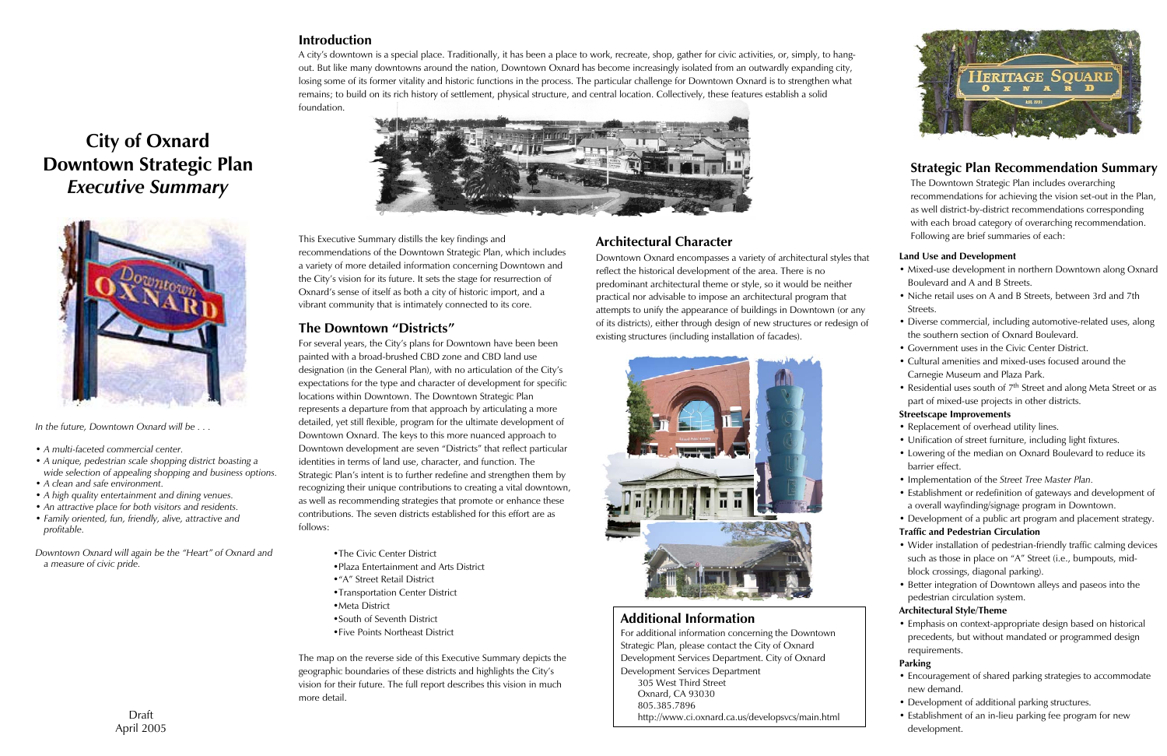# **City of Oxnard Downtown Strategic Plan** *Executive Summary*





## **Introduction**

A city's downtown is a special place. Traditionally, it has been a place to work, recreate, shop, gather for civic activities, or, simply, to hangout. But like many downtowns around the nation, Downtown Oxnard has become increasingly isolated from an outwardly expanding city, losing some of its former vitality and historic functions in the process. The particular challenge for Downtown Oxnard is to strengthen what remains; to build on its rich history of settlement, physical structure, and central location. Collectively, these features establish a solid foundation.



# **The Downtown "Districts"**

For several years, the City's plans for Downtown have been been painted with a broad-brushed CBD zone and CBD land use designation (in the General Plan), with no articulation of the City's expectations for the type and character of development for specific locations within Downtown. The Downtown Strategic Plan represents a departure from that approach by articulating a more detailed, yet still flexible, program for the ultimate development of Downtown Oxnard. The keys to this more nuanced approach to Downtown development are seven "Districts" that reflect particular identities in terms of land use, character, and function. The Strategic Plan's intent is to further redefine and strengthen them by recognizing their unique contributions to creating a vital downtown, as well as recommending strategies that promote or enhance these contributions. The seven districts established for this effort are as follows:

- •The Civic Center District
- •Plaza Entertainment and Arts District
- •"A" Street Retail District
- •Transportation Center District
- •Meta District
- •South of Seventh District
- •Five Points Northeast District

The map on the reverse side of this Executive Summary depicts the geographic boundaries of these districts and highlights the City's vision for their future. The full report describes this vision in much more detail.

*In the future, Downtown Oxnard will be . . .*

- *A multi-faceted commercial center.*
- *A unique, pedestrian scale shopping district boasting a wide selection of appealing shopping and business options.*
- *A clean and safe environment.*
- *A high quality entertainment and dining venues.*
- *An attractive place for both visitors and residents.*
- *Family oriented, fun, friendly, alive, attractive and profitable.*

*Downtown Oxnard will again be the "Heart" of Oxnard and a measure of civic pride.* 

### **Land Use and Development**

- Mixed-use development in northern Downtown along Oxnard Boulevard and A and B Streets.
- Niche retail uses on A and B Streets, between 3rd and 7th Streets.
- Diverse commercial, including automotive-related uses, along the southern section of Oxnard Boulevard.
- Government uses in the Civic Center District.
- Cultural amenities and mixed-uses focused around the Carnegie Museum and Plaza Park.
- Residential uses south of 7<sup>th</sup> Street and along Meta Street or as part of mixed-use projects in other districts.

### **Streetscape Improvements**

- Replacement of overhead utility lines.
- Unification of street furniture, including light fixtures.
- Lowering of the median on Oxnard Boulevard to reduce its barrier effect.
- Implementation of the *Street Tree Master Plan.*
- Establishment or redefinition of gateways and development of a overall wayfinding/signage program in Downtown.

• Development of a public art program and placement strategy.

#### **Traffic and Pedestrian Circulation**

- Wider installation of pedestrian-friendly traffic calming devices such as those in place on "A" Street (i.e., bumpouts, midblock crossings, diagonal parking).
- Better integration of Downtown alleys and paseos into the pedestrian circulation system.

### **Architectural Style/Theme**

• Emphasis on context-appropriate design based on historical precedents, but without mandated or programmed design requirements.

### **Parking**

- Encouragement of shared parking strategies to accommodate new demand.
- Development of additional parking structures.
- Establishment of an in-lieu parking fee program for new development.

This Executive Summary distills the key findings and recommendations of the Downtown Strategic Plan, which includes a variety of more detailed information concerning Downtown and the City's vision for its future. It sets the stage for resurrection of Oxnard's sense of itself as both a city of historic import, and a vibrant community that is intimately connected to its core.

# **Additional Information**

For additional information concerning the Downtown Strategic Plan, please contact the City of Oxnard Development Services Department. City of Oxnard Development Services Department 305 West Third Street Oxnard, CA 93030 805.385.7896http://www.ci.oxnard.ca.us/developsvcs/main.html

# **Architectural Character**

Downtown Oxnard encompasses a variety of architectural styles that reflect the historical development of the area. There is no predominant architectural theme or style, so it would be neither practical nor advisable to impose an architectural program that attempts to unify the appearance of buildings in Downtown (or any of its districts), either through design of new structures or redesign of existing structures (including installation of facades).



# **Strategic Plan Recommendation Summary**

The Downtown Strategic Plan includes overarching recommendations for achieving the vision set-out in the Plan, as well district-by-district recommendations corresponding with each broad category of overarching recommendation. Following are brief summaries of each: